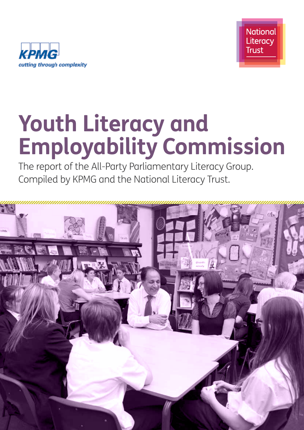



# **Youth Literacy and Employability Commission**

The report of the All-Party Parliamentary Literacy Group. Compiled by KPMG and the National Literacy Trust.

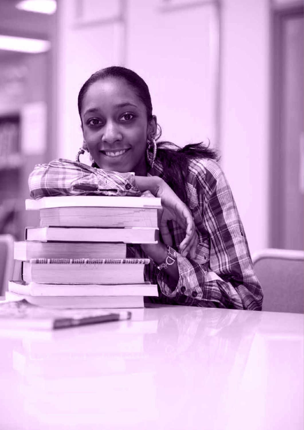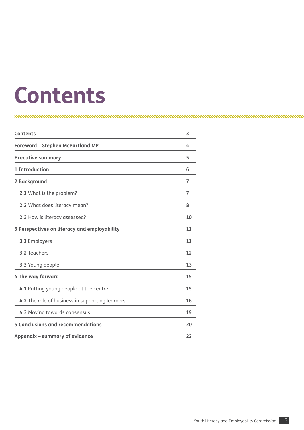## **Contents**

,,,,,,,,,,,,

| <b>Contents</b>                                 | 3  |
|-------------------------------------------------|----|
| <b>Foreword - Stephen McPartland MP</b>         | 4  |
| <b>Executive summary</b>                        | 5  |
| 1 Introduction                                  | 6  |
| 2 Background                                    | 7  |
| 2.1 What is the problem?                        | 7  |
| 2.2 What does literacy mean?                    | 8  |
| 2.3 How is literacy assessed?                   | 10 |
| 3 Perspectives on literacy and employability    | 11 |
| 3.1 Employers                                   | 11 |
| 3.2 Teachers                                    | 12 |
| 3.3 Young people                                | 13 |
| 4 The way forward                               | 15 |
| 4.1 Putting young people at the centre          | 15 |
| 4.2 The role of business in supporting learners | 16 |
| 4.3 Moving towards consensus                    | 19 |
| <b>5 Conclusions and recommendations</b>        | 20 |
| Appendix - summary of evidence                  | 22 |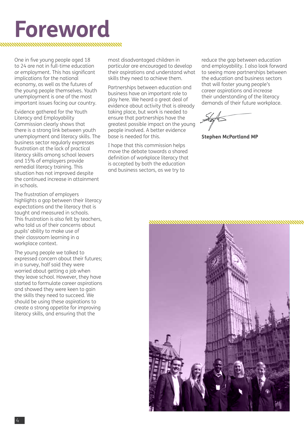## **Foreword**

One in five young people aged 18 to 24 are not in full-time education or employment. This has significant implications for the national economy, as well as the futures of the young people themselves. Youth unemployment is one of the most important issues facing our country.

Evidence gathered for the Youth Literacy and Employability Commission clearly shows that there is a strong link between youth unemployment and literacy skills. The business sector regularly expresses frustration at the lack of practical literacy skills among school leavers and 15% of employers provide remedial literacy training. This situation has not improved despite the continued increase in attainment in schools.

The frustration of employers highlights a gap between their literacy expectations and the literacy that is taught and measured in schools. This frustration is also felt by teachers, who told us of their concerns about pupils' ability to make use of their classroom learning in a workplace context.

The young people we talked to expressed concern about their futures; in a survey, half said they were worried about getting a job when they leave school. However, they have started to formulate career aspirations and showed they were keen to gain the skills they need to succeed. We should be using these aspirations to create a strong appetite for improving literacy skills, and ensuring that the

most disadvantaged children in particular are encouraged to develop their aspirations and understand what skills they need to achieve them.

Partnerships between education and business have an important role to play here. We heard a great deal of evidence about activity that is already taking place, but work is needed to ensure that partnerships have the greatest possible impact on the young people involved. A better evidence base is needed for this.

I hope that this commission helps move the debate towards a shared definition of workplace literacy that is accepted by both the education and business sectors, as we try to

reduce the gap between education and employability. I also look forward to seeing more partnerships between the education and business sectors that will foster young people's career aspirations and increase their understanding of the literacy demands of their future workplace.

**Stephen McPartland MP**

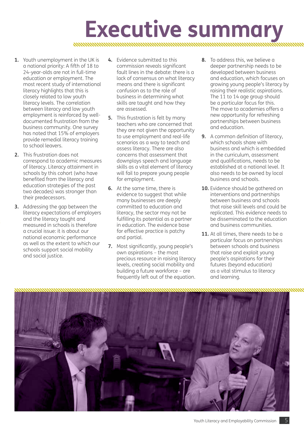# **Executive summary**

- **1.** Youth unemployment in the UK is a national priority: A fifth of 18 to 24-year-olds are not in full-time education or employment. The most recent study of international literacy highlights that this is closely related to low youth literacy levels. The correlation between literacy and low youth employment is reinforced by welldocumented frustration from the business community. One survey has noted that 15% of employers provide remedial literacy training to school leavers.
- **2.** This frustration does not correspond to academic measures of literacy. Literacy attainment in schools by this cohort (who have benefited from the literacy and education strategies of the past two decades) was stronger than their predecessors.
- **3.** Addressing the gap between the literacy expectations of employers and the literacy taught and measured in schools is therefore a crucial issue: it is about our national economic performance as well as the extent to which our schools support social mobility and social justice.
- **4.** Evidence submitted to this commission reveals significant fault lines in the debate: there is a lack of consensus on what literacy means and there is significant confusion as to the role of business in determining what skills are taught and how they are assessed.
- **5.** This frustration is felt by many teachers who are concerned that they are not given the opportunity to use employment and real-life scenarios as a way to teach and assess literacy. There are also concerns that assessment that downplays speech and language skills as a vital element of literacy will fail to prepare young people for employment.
- **6.** At the same time, there is evidence to suggest that while many businesses are deeply committed to education and literacy, the sector may not be fulfilling its potential as a partner in education. The evidence base for effective practice is patchy and partial.
- **7.** Most significantly, young people's own aspirations – the most precious resource in raising literacy levels, creating social mobility and building a future workforce – are frequently left out of the equation.
- **8.** To address this, we believe a deeper partnership needs to be developed between business and education, which focuses on growing young people's literacy by raising their realistic aspirations. The 11 to 14 age group should be a particular focus for this. The move to academies offers a new opportunity for refreshing partnerships between business and education.
- **9.** A common definition of literacy, which schools share with business and which is embedded in the curriculum, assessment and qualifications, needs to be established at a national level. It also needs to be owned by local business and schools.
- **10.** Evidence should be gathered on interventions and partnerships between business and schools that raise skill levels and could be replicated. This evidence needs to be disseminated to the education and business communities.
- **11.** At all times, there needs to be a particular focus on partnerships between schools and business that raise and exploit young people's aspirations for their futures (beyond education) as a vital stimulus to literacy and learning.

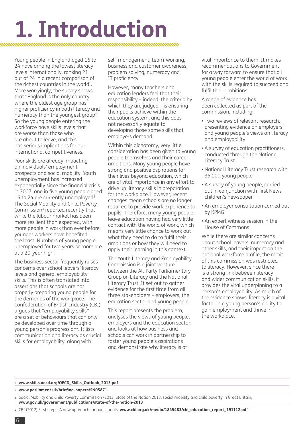# **1. Introduction**

Young people in England aged 16 to 24 have among the lowest literacy levels internationally, ranking 21 out of 24 in a recent comparison of the richest countries in the world<sup>1</sup>. More worryingly, the survey shows that "England is the only country where the oldest age group has higher proficiency in both literacy and numeracy than the youngest group". So the young people entering the workforce have skills levels that are worse than those who are about to leave, and this has serious implications for our international competitiveness.

Poor skills are already impacting on individuals' employment prospects and social mobility. Youth unemployment has increased exponentially since the financial crisis in 2007; one in five young people aged 16 to 24 are currently unemployed<sup>2</sup>. The Social Mobility and Child Poverty Commission<sup>3</sup> reported recently that while the labour market has been more resilient than expected, with more people in work than ever before, younger workers have benefited the least. Numbers of young people unemployed for two years or more are at a 20-year high.

The business sector frequently raises concerns over school leavers' literacy levels and general employability skills. This is often translated into assertions that schools are not properly preparing young people for the demands of the workplace. The Confederation of British Industry (CBI) argues that "employability skills" are a set of behaviours that can only be developed over time through a young person's progression<sup>4</sup>. It lists communication and literacy as crucial skills for employability, along with

self-management, team-working, business and customer awareness, problem solving, numeracy and IT proficiency.

However, many teachers and education leaders feel that their responsibility – indeed, the criteria by which they are judged – is ensuring their pupils achieve within the education system, and this does not necessarily equate to developing those same skills that employers demand.

Within this dichotomy, very little consideration has been given to young people themselves and their career ambitions. Many young people have strong and positive aspirations for their lives beyond education, which are of vital importance in any effort to drive up literacy skills in preparation for the workplace. However, recent changes mean schools are no longer required to provide work experience to pupils. Therefore, many young people leave education having had very little contact with the world of work, which means very little chance to work out what they need to do to fulfil their ambitions or how they will need to apply their learning in this context.

The Youth Literacy and Employability Commission is a joint venture between the All-Party Parliamentary Group on Literacy and the National Literacy Trust. It set out to gather evidence for the first time from all three stakeholders – employers, the education sector and young people.

This report presents the problem; analyses the views of young people, employers and the education sector; and looks at how business and schools can work in partnership to foster young people's aspirations and demonstrate why literacy is of

vital importance to them. It makes recommendations to Government for a way forward to ensure that all young people enter the world of work with the skills required to succeed and fulfil their ambitions.

A range of evidence has been collected as part of the commission, including:

- Two reviews of relevant research, presenting evidence on employers' and young people's views on literacy and employability
- A survey of education practitioners, conducted through the National Literacy Trust
- National Literacy Trust research with 35,000 young people
- A survey of young people, carried out in conjunction with First News children's newspaper
- An employer consultation carried out by KPMG
- An expert witness session in the House of Commons

While there are similar concerns about school leavers' numeracy and other skills, and their impact on the national workforce profile, the remit of this commission was restricted to literacy. However, since there is a strong link between literacy and wider communication skills, it provides the vital underpinning to a person's employability. As much of the evidence shows, literacy is a vital factor in a young person's ability to gain employment and thrive in the workplace.

### **1. www.skills.oecd.org/OECD\_Skills\_Outlook\_2013.pdf**

**2. www.parliament.uk/briefing-papers/SN05871**

**<sup>3.</sup>** Social Mobility and Child Poverty Commission (2013) State of the Nation 2013: social mobility and child poverty in Great Britain, **www.gov.uk/government/publications/state-of-the-nation-2013**

**<sup>4.</sup>** CBI (2012) First steps: A new approach for our schools, **www.cbi.org.uk/media/1845483/cbi\_education\_report\_191112.pdf**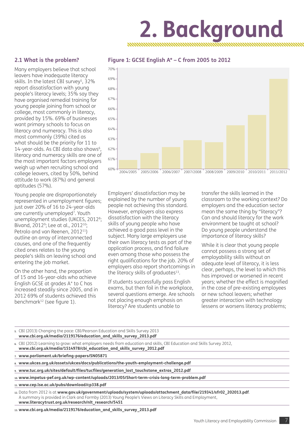### **2. Background**

### **Figure 1: GCSE English A\* – C from 2005 to 2012**

Many employers believe that school leavers have inadequate literacy skills. In the latest CBI survey<sup>5</sup>, 32% report dissatisfaction with young people's literacy levels; 35% say they have organised remedial training for young people joining from school or college, most commonly in literacy, provided by 15%. 69% of businesses want primary schools to focus on literacy and numeracy. This is also most commonly (39%) cited as what should be the priority for 11 to 14-year-olds. As CBI data also shows<sup>6</sup>, literacy and numeracy skills are one of the most important factors employers weigh up when recruiting school and college leavers, cited by 50%, behind attitude to work (87%) and general aptitudes (57%).

**2.1 What is the problem?**

Young people are disproportionately represented in unemployment figures; just over 20% of 16 to 24-year-olds are currently unemployed<sup>7</sup>. Youth unemployment studies (UKCES, 20128; Bivand, 2012<sup>9</sup>; Lee at al., 2012<sup>10</sup>; Petrolo and van Reenen, 2012<sup>11</sup>) outline an array of interconnected causes, and one of the frequently cited ones relates to the young people's skills on leaving school and entering the job market.

On the other hand, the proportion of 15 and 16-year-olds who achieve English GCSE at grades A\* to C has increased steadily since 2005, and in 2012 69% of students achieved this benchmark<sup>12</sup> (see figure 1).



Employers' dissatisfaction may be explained by the number of young people not achieving this standard. However, employers also express dissatisfaction with the literacy skills of young people who have achieved a good pass level in the subject. Many large employers use their own literacy tests as part of the application process, and find failure even among those who possess the right qualifications for the job. 20% of employers also report shortcomings in the literacy skills of graduates<sup>13</sup>.

If students successfully pass English exams, but then fail in the workplace, several questions emerge. Are schools not placing enough emphasis on literacy? Are students unable to

transfer the skills learned in the classroom to the working context? Do employers and the education sector mean the same thing by "literacy"? Can and should literacy for the work environment be taught at school? Do young people understand the importance of literacy skills?

While it is clear that young people cannot possess a strong set of employability skills without an adequate level of literacy, it is less clear, perhaps, the level to which this has improved or worsened in recent years; whether the effect is magnified in the case of pre-existing employees or new school leavers; whether greater interaction with technology lessens or worsens literacy problems;

**5.** CBI (2013) Changing the pace: CBI/Pearson Education and Skills Survey 2013 **www.cbi.org.uk/media/2119176/education\_and\_skills\_survey\_2013.pdf**

**6.** CBI (2012) Learning to grow: what employers needs from education and skills, CBI Education and Skills Survey 2012, **www.cbi.org.uk/media/1514978/cbi\_education\_and\_skills\_survey\_2012.pdf**

**7. www.parliament.uk/briefing-papers/SN05871**

**8. www.ukces.org.uk/assets/ukces/docs/publications/the-youth-employment-challenge.pdf**

**9. www.tuc.org.uk/sites/default/files/tucfiles/generation\_lost\_touchstone\_extras\_2012.pdf**

**10. www.impetus-pef.org.uk/wp-content/uploads/2013/05/Short-term-crisis-long-term-problem.pdf**

**11. www.cep.lse.ac.uk/pubs/download/cp338.pdf**

**12.** Data from 2012 is at **www.gov.uk/government/uploads/system/uploads/attachment\_data/file/219341/sfr02\_202013.pdf**. A summary is provided in Clark and Formby (2013) Young People's Views on Literacy Skills and Employment, **www.literacytrust.org.uk/research/nlt\_research/5451**

**13. www.cbi.org.uk/media/2119176/education\_and\_skills\_survey\_2013.pdf**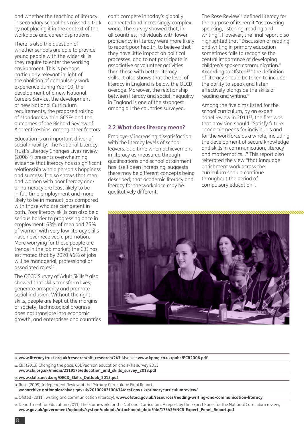and whether the teaching of literacy in secondary school has missed a trick by not placing it in the context of the workplace and career aspirations.

There is also the question of whether schools are able to provide young people with the wider skills they require to enter the working environment. This is perhaps particularly relevant in light of the abolition of compulsory work experience during Year 10, the development of a new National Careers Service, the development of new National Curriculum requirements, the proposed raising of standards within GCSEs and the outcomes of the Richard Review of Apprenticeships, among other factors.

Education is an important driver of social mobility. The National Literacy Trust's Literacy Changes Lives review (200814) presents overwhelming evidence that literacy has a significant relationship with a person's happiness and success. It also shows that men and women with poor literacy and/ or numeracy are least likely to be in full-time employment and more likely to be in manual jobs compared with those who are competent in both. Poor literacy skills can also be a serious barrier to progressing once in employment: 63% of men and 75% of women with very low literacy skills have never received a promotion. More worrying for these people are trends in the job market; the CBI has estimated that by 2020 46% of jobs will be managerial, professional or associated roles15.

The OECD Survey of Adult Skills<sup>16</sup> also showed that skills transform lives, generate prosperity and promote social inclusion. Without the right skills, people are kept at the margins of society, technological progress does not translate into economic growth, and enterprises and countries can't compete in today's globally connected and increasingly complex world. The survey showed that, in all countries, individuals with lower proficiency in literacy were more likely to report poor health, to believe that they have little impact on political processes, and to not participate in associative or volunteer activities than those with better literacy skills. It also shows that the level of literacy in England is below the OECD average. Moreover, the relationship between literacy and social inequality in England is one of the strongest among all the countries surveyed.

### **2.2 What does literacy mean?**

Employers' increasing dissatisfaction with the literacy levels of school leavers, at a time when achievement in literacy as measured through qualifications and school attainment has itself been increasing, suggests there may be different concepts being described; that academic literacy and literacy for the workplace may be qualitatively different.

The Rose Review<sup>17</sup> defined literacy for the purpose of its remit "as covering speaking, listening, reading and writing". However, the final report also highlighted that "Discussion of reading and writing in primary education sometimes fails to recognise the central importance of developing children's spoken communication." According to Ofsted<sup>18</sup> "the definition of literacy should be taken to include the ability to speak and listen effectively alongside the skills of reading and writing."

Among the five aims listed for the school curriculum, by an expert panel review in  $2011^{19}$ , the first was that provision should "Satisfy future economic needs for individuals and for the workforce as a whole, including the development of secure knowledge and skills in communication, literacy and mathematics…" This report also reiterated the view "that language enrichment work across the curriculum should continue throughout the period of compulsory education".



**14. www.literacytrust.org.uk/research/nlt\_research/243** Also see **www.kpmg.co.uk/pubs/ECR2006.pdf**

- **15.** CBI (2013) Changing the pace: CBI/Pearson education and skills survey 2013 **www.cbi.org.uk/media/2119176/education\_and\_skills\_survey\_2013.pdf**
- **16. www.skills.oecd.org/OECD\_Skills\_Outlook\_2013.pdf**
- **17.** Rose (2009) Independent Review of the Primary Curriculum: Final Report, **webarchive.nationalarchives.gov.uk/20100202100434/dcsf.gov.uk/primarycurriculumreview/**
- **18.** Ofsted (2011), writing and communication (literacy), **www.ofsted.gov.uk/resources/reading-writing-and-communication-literacy**
- **19.** Department for Education (2011) The Framework for the National Curriculum. A report by the Expert Panel for the National Curriculum review, **www.gov.uk/government/uploads/system/uploads/attachment\_data/file/175439/NCR-Expert\_Panel\_Report.pdf**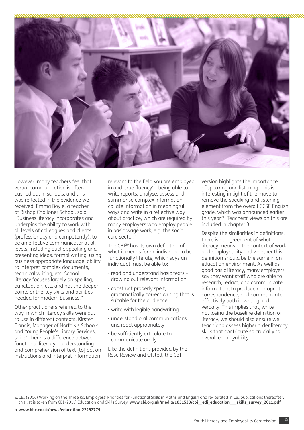

However, many teachers feel that verbal communication is often pushed out in schools, and this was reflected in the evidence we received. Emma Boyle, a teacher at Bishop Challoner School, said: "Business literacy incorporates and underpins the ability to work with all levels of colleagues and clients (professionally and competently), to be an effective communicator at all levels, including public speaking and presenting ideas, formal writing, using business appropriate language, ability to interpret complex documents, technical writing, etc. School literacy focuses largely on spelling, punctuation, etc. and not the deeper points or the key skills and abilities needed for modern business."

Other practitioners referred to the way in which literacy skills were put to use in different contexts. Kirsten Francis, Manager of Norfolk's Schools and Young People's Library Services, said: "There is a difference between functional literacy – understanding and comprehension of text [to] act on instructions and interpret information

relevant to the field you are employed in and 'true fluency' – being able to write reports, analyse, assess and summarise complex information, collate information in meaningful ways and write in a reflective way about practice, which are required by many employers who employ people in basic wage work, e.g. the social care sector."

The CBI20 has its own definition of what it means for an individual to be functionally literate, which says an individual must be able to:

- read and understand basic texts drawing out relevant information
- construct properly spelt, grammatically correct writing that is suitable for the audience
- write with legible handwriting
- understand oral communications and react appropriately
- be sufficiently articulate to communicate orally.

Like the definitions provided by the Rose Review and Ofsted, the CBI

version highlights the importance of speaking and listening. This is interesting in light of the move to remove the speaking and listening element from the overall GCSE English grade, which was announced earlier this year<sup>21</sup>. Teachers' views on this are included in chapter 3.

Despite the similarities in definitions, there is no agreement of what literacy means in the context of work and employability and whether this definition should be the same in an education environment. As well as good basic literacy, many employers say they want staff who are able to research, redact, and communicate information, to produce appropriate correspondence, and communicate effectively both in writing and verbally. This implies that, while not losing the baseline definition of literacy, we should also ensure we teach and assess higher order literacy skills that contribute so crucially to overall employability.

**21. www.bbc.co.uk/news/education-22292779**

**<sup>20.</sup>** CBI (2006) Working on the Three Rs: Employers' Priorities for Functional Skills in Maths and English and re-iterated in CBI publications thereafter: this list is taken from CBI (2011) Education and Skills Survey, **www.cbi.org.uk/media/1051530/cbi\_\_edi\_education\_\_\_skills\_survey\_2011.pdf**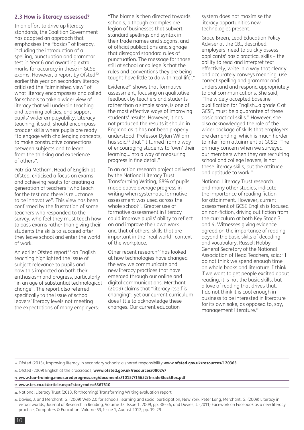### **2.3 How is literacy assessed?**

In an effort to drive up literacy standards, the Coalition Government has adopted an approach that emphasises the "basics" of literacy, including the introduction of a spelling, punctuation and grammar test in Year 6 and awarding extra marks for accuracy in these in GCSE exams. However, a report by Ofsted<sup>22</sup> earlier this year on secondary literacy criticised the "diminished view" of what literacy encompasses and called for schools to take a wider view of literacy that will underpin teaching and learning policies, and support pupils' wider employability. Literacy teaching, it said, should encompass broader skills where pupils are ready "to engage with challenging concepts, to make constructive connections between subjects and to learn from the thinking and experience of others".

Patricia Metham, Head of English at Ofsted, criticised a focus on exams and achieving results for creating a generation of teachers "who teach for the test and there is reluctance to be innovative". This view has been confirmed by the frustration of some teachers who responded to the survey, who feel they must teach how to pass exams rather than giving their students the skills to succeed after they leave school and enter the world of work.

An earlier Ofsted report<sup>23</sup> on English teaching highlighted the issue of subject relevance to pupils and how this impacted on both their enthusiasm and progress, particularly "in an age of substantial technological change". The report also referred specifically to the issue of school leavers' literacy levels not meeting the expectations of many employers:

"The blame is then directed towards schools, although examples are legion of businesses that subvert standard spellings and syntax in their trade names and slogans, and of official publications and signage that disregard standard rules of punctuation. The message for those still at school or college is that the rules and conventions they are being taught have little to do with 'real life'."

Evidence24 shows that formative assessment, focusing on qualitative feedback by teachers and students rather than a simple score, is one of the most effective ways of improving students' results. However, it has not produced the results it should in England as it has not been properly understood. Professor Dylan Wiliam has said<sup>25</sup> that "it turned from a way of encouraging students to 'own' their learning…into a way of measuring progress in fine detail."

In an action research project delivered by the National Literacy Trust, Transforming Writing, 68% of pupils made above average progress in writing when systematic formative assessment was used across the whole school<sup>26</sup>. Greater use of formative assessment in literacy could improve pupils' ability to reflect on and improve their own work and that of others, skills that are important in the "real world" context of the workplace.

Other recent research<sup>27</sup> has looked at how technologies have changed the way we communicate and new literacy practices that have emerged through our online and digital communications. Merchant (2009) claims that "literacy itself is changing"; yet our current curriculum does little to acknowledge these changes. Our current education

system does not maximise the literacy opportunities new technologies present.

Grace Breen, Lead Education Policy Adviser at the CBI, described employers' need to quickly assess applicants' basic practical skills – the ability to read and interpret text effectively, write in a way that clearly and accurately conveys meaning, use correct spelling and grammar and understand and respond appropriately to oral communications. She said, "The widely accepted baseline qualification for English…a grade C at GCSE, must be a guarantee of these basic practical skills." However, she also acknowledged the role of the wider package of skills that employers are demanding, which is much harder to infer from attainment at GCSE: "The primary concern when we surveyed our members when they are recruiting school and college leavers, is not these literacy skills, but the attitude and aptitude to work."

National Literacy Trust research, and many other studies, indicate the importance of reading fiction for attainment. However, current assessment of GCSE English is focused on non-fiction, driving out fiction from the curriculum at both Key Stage 3 and 4. Witnesses giving evidence agreed on the importance of reading beyond the basic skills of decoding and vocabulary. Russell Hobby, General Secretary of the National Association of Head Teachers, said: "I do not think we spend enough time on whole books and literature. I think if we want to get people excited about reading, it is not the basic skills, but a love of reading that drives that. I do not think it is cool enough in business to be interested in literature for its own sake, as opposed to, say, management literature."

**22.** Ofsted (2013), Improving literacy in secondary schools: a shared responsibility **www.ofsted.gov.uk/resources/120363**

**23.** Ofsted (2009) English at the crossroads, **www.ofsted.gov.uk/resources/080247**

### **24. www.faa-training.measuredprogress.org/documents/10157/15652/InsideBlackBox.pdf**

### **25. www.tes.co.uk/article.aspx?storycode=6367610**

**26.** National Literacy Trust (2013, forthcoming) Transforming Writing evaluation report

**27.** Davies, J. and Merchant, G. (2009) Web 2.0 for schools: learning and social participation, New York: Peter Lang, Merchant, G. (2009) Literacy in virtual worlds, Journal of Research in Reading, Volume 32, Issue 1, 2009, pp. 38–56, and Davies, J. (2011) Facework on Facebook as a new literacy practice, Computers & Education, Volume 59, Issue 1, August 2012, pp. 19–29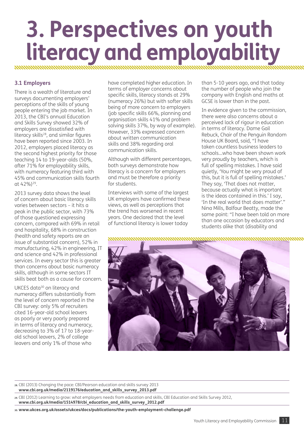## **3. Perspectives on youth literacy and employability**

### **3.1 Employers**

There is a wealth of literature and surveys documenting employers' perceptions of the skills of young people entering the job market. In 2013, the CBI's annual Education and Skills Survey showed 32% of employers are dissatisfied with literacy skills<sup>28</sup>, and similar figures have been reported since 2003. In 2012, employers placed literacy as the second highest priority for those teaching 14 to 19-year-olds (50%, after 71% for employability skills, with numeracy featuring third with 45% and communication skills fourth at 42%)29.

2013 survey data shows the level of concern about basic literacy skills varies between sectors – it hits a peak in the public sector, with 73% of those questioned expressing concern, compared with 69% in retail and hospitality, 68% in construction (health and safety reports are an issue of substantial concern), 52% in manufacturing, 42% in engineering, IT and science and 42% in professional services. In every sector this is greater than concerns about basic numeracy skills, although in some sectors IT skills beat both as a cause for concern.

UKCES data<sup>30</sup> on literacy and numeracy differs substantially from the level of concern reported in the CBI survey: only 5% of recruiters cited 16-year-old school leavers as poorly or very poorly prepared in terms of literacy and numeracy, decreasing to 3% of 17 to 18-yearold school leavers, 2% of college leavers and only 1% of those who

have completed higher education. In terms of employer concerns about specific skills, literacy stands at 29% (numeracy 26%) but with softer skills being of more concern to employers (job specific skills 66%, planning and organisation skills 41% and problem solving skills 37%, by way of example). However, 33% expressed concern about written communication skills and 38% regarding oral communication skills.

Although with different percentages, both surveys demonstrate how literacy is a concern for employers and must be therefore a priority for students.

Interviews with some of the largest UK employers have confirmed these views, as well as perceptions that the trend has worsened in recent years. One declared that the level of functional literacy is lower today

than 5-10 years ago, and that today the number of people who join the company with English and maths at GCSE is lower than in the past.

In evidence given to the commission, there were also concerns about a perceived lack of rigour in education in terms of literacy. Dame Gail Rebuck, Chair of the Penguin Random House UK Board, said, "I have taken countless business leaders to schools…who have been shown work very proudly by teachers, which is full of spelling mistakes. I have said quietly, 'You might be very proud of this, but it is full of spelling mistakes.' They say, 'That does not matter, because actually what is important is the ideas contained in this.' I say, 'In the real world that does matter'." Nina Mills, Balfour Beatty, made the same point: "I have been told on more than one occasion by educators and students alike that (disability and



**28.** CBI (2013) Changing the pace: CBI/Pearson education and skills survey 2013 **www.cbi.org.uk/media/2119176/education\_and\_skills\_survey\_2013.pdf**

**29.** CBI (2012) Learning to grow: what employers needs from education and skills, CBI Education and Skills Survey 2012, **www.cbi.org.uk/media/1514978/cbi\_education\_and\_skills\_survey\_2012.pdf**

**30. www.ukces.org.uk/assets/ukces/docs/publications/the-youth-employment-challenge.pdf**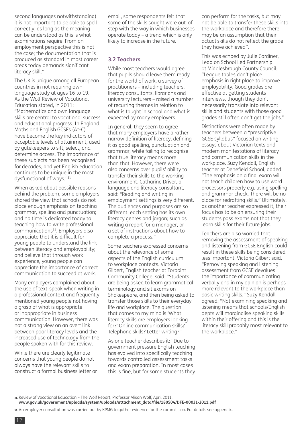second languages notwithstanding) it is not important to be able to spell correctly, as long as the meaning can be understood as this is what examinations require. From an employment perspective this is not the case; the documentation that is produced as standard in most career areas today demands significant literacy skill."

The UK is unique among all European countries in not requiring ownlanguage study at ages 16 to 19. As the Wolf Review of Vocational Education stated, in 2011: "Mathematics and own language skills are central to vocational success and educational progress. In England, Maths and English GCSEs (A\*-C) have become the key indicators of acceptable levels of attainment, used by gatekeepers to sift, select, and determine access. The importance of these subjects has been recognised for decades; and yet English education continues to be unique in the most dysfunctional of ways."31

When asked about possible reasons behind the problem, some employers shared the view that schools do not place enough emphasis on teaching grammar, spelling and punctuation; and no time is dedicated today to teaching how to write professional communications<sup>32</sup>. Employers also appreciate that it is difficult for young people to understand the link between literacy and employability; and believe that through work experience, young people can appreciate the importance of correct communication to succeed at work.

Many employers complained about the use of text-speak when writing in a professional context and frequently mentioned young people not having a grasp of what is appropriate or inappropriate in business communication. However, there was not a strong view on an overt link between poor literacy levels and the increased use of technology from the people spoken with for this review.

While there are clearly legitimate concerns that young people do not always have the relevant skills to construct a formal business letter or email, some respondents felt that some of the skills sought were out-ofstep with the way in which businesses operate today – a trend which is only likely to increase in the future.

### **3.2 Teachers**

While most teachers would agree that pupils should leave them ready for the world of work, a survey of practitioners – including teachers, literacy consultants, librarians and university lecturers – raised a number of recurring themes in relation to what is taught in school and what is expected by many employers.

In general, they seem to agree that many employers have a rather narrow definition of literacy, defining it as good spelling, punctuation and grammar, while failing to recognise that true literacy means more than that. However, there were also concerns over pupils' ability to transfer their skills to the working environment. Catharine Driver, a language and literacy consultant, said: "Reading and writing in employment settings is very different. The audiences and purposes are so different, each setting has its own literacy genres and jargon; such as writing a report for a manager, or a set of instructions about how to complete a process."

Some teachers expressed concerns about the relevance of some aspects of the English curriculum to workplace contexts. Victoria Gilbert, English teacher at Torpoint Community College, said: "Students are being asked to learn grammatical terminology and sit exams on Shakespeare, and then being asked to transfer those skills to their everyday life and workplace. The question that comes to my mind is 'What literacy skills are employers looking for?' Online communication skills? Telephone skills? Letter writing?"

As one teacher describes it: "Due to government pressure English teaching has evolved into specifically teaching towards controlled assessment tasks and exam preparation. In most cases this is fine, but for some students they can perform for the tasks, but may not be able to transfer these skills into the workplace and therefore there may be an assumption that their actual skills do not reflect the grade they have achieved".

This was echoed by Julie Cordiner, Lead on School Led Partnership at Middlesbrough County Council: "League tables don't place emphasis in right place to improve employability. Good grades are effective at getting students interviews, though they don't necessarily translate into relevant skills and students with those good grades still often don't get the jobs."

Distinctions were often made by teachers between a "prescriptive GCSE syllabus" focused on writing essays about Victorian texts and modern manifestations of literacy and communication skills in the workplace. Suzy Kendall, English teacher at Denefield School, added, "The emphasis on a final exam will not teach children how to use word processors properly e.g. using spelling and grammar check. There will be no place for redrafting skills." Ultimately, as another teacher expressed it, their focus has to be on ensuring their students pass exams not that they learn skills for their future jobs.

Teachers are also worried that removing the assessment of speaking and listening from GCSE English could result in these skills being considered less important. Victoria Gilbert said, "Removing speaking and listening assessment from GCSE devalues the importance of communicating verbally and in my opinion is perhaps more relevant to the workplace than basic writing skills." Suzy Kendall agreed: "Not examining speaking and listening means that schools/English depts will marginalise speaking skills within their offering and this is the literacy skill probably most relevant to the workplace."

**<sup>31.</sup>** Review of Vocational Education – The Wolf Report, Professor Alison Wolf, April 2011,

**www.gov.uk/government/uploads/system/uploads/attachment\_data/file/180504/DFE-00031-2011.pdf**

**<sup>32.</sup>** An employer consultation was carried out by KPMG to gather evidence for the commission. For details see appendix.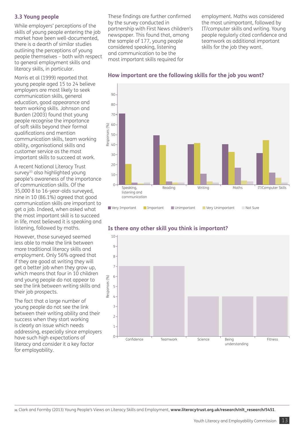### **3.3 Young people**

While employers' perceptions of the skills of young people entering the job market have been well-documented, there is a dearth of similar studies outlining the perceptions of young people themselves – both with respect to general employment skills and literacy skills, in particular.

Morris et al (1999) reported that young people aged 15 to 24 believe employers are most likely to seek communication skills, general education, good appearance and team working skills. Johnson and Burden (2003) found that young people recognise the importance of soft skills beyond their formal qualifications and mention communication skills, team working ability, organisational skills and customer service as the most important skills to succeed at work.

A recent National Literacy Trust survey<sup>33</sup> also highlighted young people's awareness of the importance of communication skills. Of the 35,000 8 to 16-year-olds surveyed, nine in 10 (86.1%) agreed that good communication skills are important to get a job. Indeed, when asked what the most important skill is to succeed in life, most believed it is speaking and listening, followed by maths.

However, those surveyed seemed less able to make the link between more traditional literacy skills and employment. Only 56% agreed that if they are good at writing they will get a better job when they grow up, which means that four in 10 children and young people do not appear to see the link between writing skills and their job prospects.

The fact that a large number of young people do not see the link between their writing ability and their success when they start working is clearly an issue which needs addressing, especially since employers have such high expectations of literacy and consider it a key factor for employability.

These findings are further confirmed by the survey conducted in partnership with First News children's newspaper. This found that, among the sample of 177, young people considered speaking, listening and communication to be the most important skills required for

employment. Maths was considered the most unimportant, followed by IT/computer skills and writing. Young people regularly cited confidence and teamwork as additional important skills for the job they want.

### **How important are the following skills for the job you want?**





### **Is there any other skill you think is important?**

**33.** Clark and Formby (2013) Young People's Views on Literacy Skills and Employment, **www.literacytrust.org.uk/research/nlt\_research/5451**.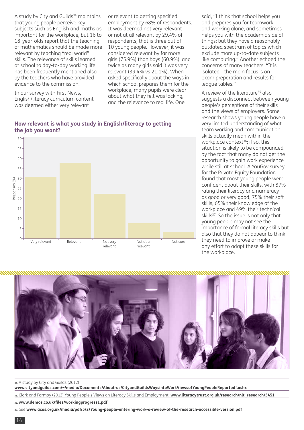A study by City and Guilds<sup>34</sup> maintains that young people perceive key subjects such as English and maths as important for the workplace, but 16 to 18-year-olds report that the teaching of mathematics should be made more relevant by teaching "real world" skills. The relevance of skills learned at school to day-to-day working life has been frequently mentioned also by the teachers who have provided evidence to the commission.

In our survey with First News, English/literacy curriculum content was deemed either very relevant

or relevant to getting specified employment by 68% of respondents. It was deemed not very relevant or not at all relevant by 29.4% of respondents, that is three out of 10 young people. However, it was considered relevant by far more girls (75.9%) than boys (60.9%), and twice as many girls said it was very relevant (39.4% vs 21.1%). When asked specifically about the ways in which school prepares them for the workplace, many pupils were clear about what they felt was lacking, and the relevance to real life. One

 $50$ 45 40 35 30  $(%)$ Responses (%) Responses 25  $20$ 15 10 5  $\Omega$ Very relevant <sup>1</sup> Relevant 1 Not very Not at all Not sure relevant relevant

**How relevant is what you study in English/literacy to getting the job you want?**

said, "I think that school helps you and prepares you for teamwork and working alone, and sometimes helps you with the academic side of things; but they have a reasonably outdated spectrum of topics which exclude more up-to-date subjects like computing." Another echoed the concerns of many teachers: "It is isolated - the main focus is on exam preparation and results for league tables."

A review of the literature<sup>35</sup> also suggests a disconnect between young people's perceptions of their skills and the views of employers. Some research shows young people have a very limited understanding of what team working and communication skills actually mean within the workplace context<sup>36</sup>; if so, this situation is likely to be compounded by the fact that many do not get the opportunity to gain work experience while still at school. A YouGov survey for the Private Equity Foundation found that most young people were confident about their skills, with 87% rating their literacy and numeracy as good or very good, 75% their soft skills, 65% their knowledge of the workplace and 49% their technical skills<sup>37</sup>. So the issue is not only that young people may not see the importance of formal literacy skills but also that they do not appear to think they need to improve or make any effort to adapt these skills for the workplace.



### **34.** A study by City and Guilds (2012)

**www.cityandguilds.com/~/media/Documents/About-us/CityandGuildsWaysintoWorkViewsofYoungPeopleReportpdf.ashx**

35. Clark and Formby (2013) Young People's Views on Literacy Skills and Employment, www.literacytrust.org.uk/research/nlt\_research/5451

**36. www.demos.co.uk/files/workingprogress1.pdf**

**37.** See **www.acas.org.uk/media/pdf/5/2/Young-people-entering-work-a-review-of-the-research-accessible-version.pdf**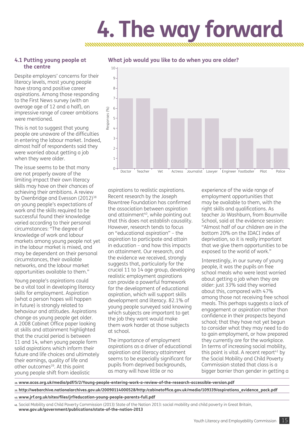# **4. The way forward**

### **4.1 Putting young people at the centre**

Despite employers' concerns for their literacy levels, most young people have strong and positive career aspirations. Among those responding to the First News survey (with an average age of 12 and a half), an impressive range of career ambitions were mentioned.

This is not to suggest that young people are unaware of the difficulties in entering the labour market. Indeed, almost half of respondents said they were worried about getting a job when they were older.

The issue seems to be that many are not properly aware of the limiting impact their own literacy skills may have on their chances of achieving their ambitions. A review by Oxenbridge and Evesson (2012)<sup>38</sup> on young people's expectations of work and the skills required to be successful found their knowledge varied according to their personal circumstances: "The degree of knowledge of work and labour markets among young people not yet in the labour market is mixed, and may be dependent on their personal circumstances, their available networks, and the labour market opportunities available to them."

Young people's aspirations could be a vital tool in developing literacy skills for employment. Aspiration (what a person hopes will happen in future) is strongly related to behaviour and attitudes. Aspirations change as young people get older. A 2008 Cabinet Office paper looking at skills and attainment highlighted that the crucial period is between 11 and 14, when young people form solid aspirations which inform their future and life choices and ultimately their earnings, quality of life and other outcomes<sup>39</sup>. At this point young people shift from idealistic



**What job would you like to do when you are older?**

aspirations to realistic aspirations. Recent research by the Joseph Rowntree Foundation has confirmed the association between aspiration and attainment<sup>40</sup>, while pointing out that this does not establish causality. However, research tends to focus on "educational aspiration" – the aspiration to participate and attain in education – and how this impacts on attainment. Our research, and the evidence we received, strongly suggests that, particularly for the crucial 11 to 14 age group, developing realistic employment aspirations can provide a powerful framework for the development of educational aspiration, which will support skills development and literacy. 82.1% of young people surveyed said knowing which subjects are important to get the job they want would make them work harder at those subjects at school.

The importance of employment aspirations as a driver of educational aspiration and literacy attainment seems to be especially significant for pupils from deprived backgrounds, as many will have little or no

experience of the wide range of employment opportunities that may be available to them, with the right skills and qualifications. As teacher Jo Washburn, from Bournville School, said at the evidence session: "Almost half of our children are in the bottom 20% on the IDACI index of deprivation, so it is really important that we give them opportunities to be exposed to the world of work."

Interestingly, in our survey of young people, it was the pupils on free school meals who were least worried about getting a job when they are older: just 33% said they worried about this, compared with 47% among those not receiving free school meals. This perhaps suggests a lack of engagement or aspiration rather than confidence in their prospects beyond school; that they have not yet begun to consider what they may need to do to gain employment, or how prepared they currently are for the workplace. In terms of increasing social mobility, this point is vital. A recent report<sup> $41$ </sup> by the Social Mobility and Child Poverty Commission stated that class is a bigger barrier than gender in getting a

**38. www.acas.org.uk/media/pdf/5/2/Young-people-entering-work-a-review-of-the-research-accessible-version.pdf 39. http://webarchive.nationalarchives.gov.uk/20090114000528/http:/cabinetoffice.gov.uk/media/109339/aspirations\_evidence\_pack.pdf**

**40. www.jrf.org.uk/sites/files/jrf/education-young-people-parents-full.pdf**

**41.** Social Mobility and Child Poverty Commission (2013) State of the Nation 2013: social mobility and child poverty in Great Britain, **www.gov.uk/government/publications/state-of-the-nation-2013**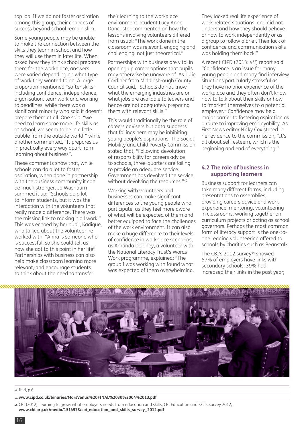top job. If we do not foster aspiration among this group, their chances of success beyond school remain slim.

Some young people may be unable to make the connection between the skills they learn in school and how they will use them in later life. When asked how they think school prepares them for the workplace, answers were varied depending on what type of work they wanted to do. A large proportion mentioned "softer skills" including confidence, independence, organisation, teamwork and working to deadlines, while there was a significant minority who said it doesn't prepare them at all. One said: "we need to learn some more life skills as at school, we seem to be in a little bubble from the outside world!" while another commented, "It prepares us in practically every way apart from learning about business".

These comments show that, while schools can do a lot to foster aspiration, when done in partnership with the business community it can be much stronger. Jo Washburn summed it up: "Schools do a lot to inform students, but it was the interaction with the volunteers that really made a difference. There was the missing link to making it all work." This was echoed by her pupil, Kadique, who talked about the volunteer he worked with: "Anna is someone who is successful, so she could tell us how she got to this point in her life". Partnerships with business can also help make classroom learning more relevant, and encourage students to think about the need to transfer

their learning to the workplace environment. Student Lucy Anne Doncaster commented on how the lessons involving volunteers differed from usual: "The work done in the classroom was relevant, engaging and challenging, not just theoretical."

Partnerships with business are vital in opening up career options that pupils may otherwise be unaware of. As Julie Cordiner from Middlesbrough County Council said, "Schools do not know what the emerging industries are or what jobs are available to leavers and hence are not adequately preparing them with relevant skills."

This would traditionally be the role of careers advisers but data suggests that failings here may be inhibiting young people's aspirations. The Social Mobility and Child Poverty Commission stated that, "Following devolution of responsibility for careers advice to schools, three-quarters are failing to provide an adequate service. Government has devolved the service without devolving the resources."42

Working with volunteers and businesses can make significant differences to the young people who participate, as they feel more aware of what will be expected of them and better equipped to face the challenges of the work environment. It can also make a huge difference to their levels of confidence in workplace scenarios, as Amanda Delaney, a volunteer with the National Literacy Trust's Words Work programme, explained: "The group I was working with found what was expected of them overwhelming.

They lacked real life experience of work-related situations, and did not understand how they should behave or how to work independently or as a group to follow a brief. Their lack of confidence and communication skills was holding them back."

A recent CIPD (2013: 443) report said: "Confidence is an issue for many young people and many find interview situations particularly stressful as they have no prior experience of the workplace and they often don't know how to talk about their skills or how to 'market' themselves to a potential employer." Confidence may be a major barrier to fostering aspiration as a route to improving employability. As First News editor Nicky Cox stated in her evidence to the commission, "It's all about self-esteem, which is the beginning and end of everything."

### **4.2 The role of business in supporting learners**

Business support for learners can take many different forms, including presentations to assemblies, providing careers advice and work experience, mentoring, volunteering in classrooms, working together on curriculum projects or acting as school governors. Perhaps the most common form of literacy support is the one-toone reading volunteering offered to schools by charities such as Beanstalk.

The CBI's 2012 survey<sup>44</sup> showed 57% of employers have links with secondary schools; 39% had increased their links in the past year;



#### **42.** Ibid, p.6

**43. www.cipd.co.uk/binaries/MarsVenus%20FINAL%2030%2004%2013.pdf**

**44.** CBI (2012) Learning to grow: what employers needs from education and skills, CBI Education and Skills Survey 2012, **www.cbi.org.uk/media/1514978/cbi\_education\_and\_skills\_survey\_2012.pdf**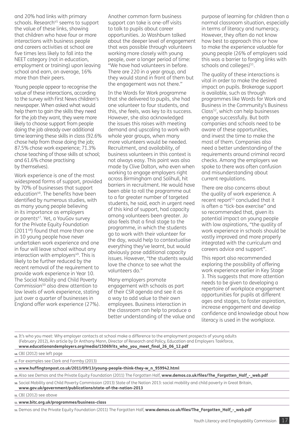and 20% had links with primary schools. Research<sup>45</sup> seems to support the value of these links, showing that children who have four or more interactions with business people and careers activities at school are five times less likely to fall into the NEET category (not in education, employment or training) upon leaving school and earn, on average, 16% more than their peers.

Young people appear to recognise the value of these interactions, according to the survey with First News children's newspaper. When asked what would help them to gain the skills they need for the job they want, they were more likely to choose support from people doing the job already over additional time learning these skills in class (92.6% chose help from those doing the job; 87.5% chose work experience; 71.3% chose teaching of those skills at school; and 61.6% chose practising by themselves).

Work experience is one of the most widespread forms of support, provided by 70% of businesses that support education<sup>46</sup>. The benefits have been identified by numerous studies, with as many young people believing in its importance as employers or parents<sup>47</sup>. Yet, a YouGov survey for the Private Equity Foundation (201148) found that more than one in 10 young people have never undertaken work experience and one in four will leave school without any interaction with employers<sup>49</sup>. This is likely to be further reduced by the recent removal of the requirement to provide work experience in Year 10. The Social Mobility and Child Poverty Commission<sup>50</sup> also drew attention to low levels of work experience, stating just over a quarter of businesses in England offer work experience (27%).

Another common form business support can take is one-off visits to talk to pupils about career opportunities. Jo Washburn talked about the deeper level of engagement that was possible through volunteers working more closely with young people, over a longer period of time: "We have had volunteers in before. There are 220 in a year group, and they would stand in front of them but the engagement was not there."

In the Words for Work programme that she delivered to pupils, she had one volunteer to four students, and this, she feels, was key to its success. However, she also acknowledged the issues this raises with meeting demand and upscaling to work with whole year groups, when many more volunteers would be needed. Recruitment, and availability, of business volunteers in this context is not always easy. This point was also made by Clive Dalton, who even when working to engage employers right across Birmingham and Solihull, hit barriers in recruitment. He would have been able to roll the programme out to a far greater number of targeted students, he said, each in urgent need of this kind of support, had capacity among volunteers been greater. Jo also feels that a final stage to the programme, in which the students go to work with their volunteer for the day, would help to contextualise everything they've learnt, but would obviously pose additional capacity issues. However, "the students would love the chance to see what the volunteers do."

Many employers promote engagement with schools as part of their CSR agenda and see it as a way to add value to their own employees. Business interaction in the classroom can help to produce a better understanding of the value and purpose of learning for children than a normal classroom situation, especially in terms of literacy and numeracy. However, they often do not know how best to approach this or how to make the experience valuable for young people (26% of employers said this was a barrier to forging links with schools and colleges)<sup>51</sup>.

The quality of these interactions is vital in order to make the desired impact on pupils. Brokerage support is available, such as through programmes like Words for Work and Business in the Community's Business Class<sup>52</sup>, which can help businesses engage successfully. But both companies and schools need to be aware of these opportunities, and invest the time to make the most of them. Companies also need a better understanding of the requirements around criminal record checks. Among the employers we spoke to there was often confusion and misunderstanding about current regulations.

There are also concerns about the quality of work experience. A recent report<sup>53</sup> concluded that it is often a "tick-box exercise" and so recommended that, given its potential impact on young people with low aspirations, "the quality of work experience in schools should be vastly improved and more properly integrated with the curriculum and careers advice and support".

This report also recommended exploring the possibility of offering work experience earlier in Key Stage 3. This suggests that more attention needs to be given to developing a repertoire of workplace engagement opportunities for pupils at different ages and stages, to foster aspiration, increase engagement and develop confidence and knowledge about how literacy is used in the workplace.

**45.** It's who you meet: Why employer contacts at school make a difference to the employment prospects of young adults (February 2012), An article by Dr Anthony Mann, Director of Research and Policy, Education and Employers Taskforce, **www.educationandemployers.org/media/15069/its\_who\_you\_meet\_final\_26\_06\_12.pdf**

**46.** CBI (2012) see left page

**47.** For examples see Clark and Formby (2013)

**48. www.huffingtonpost.co.uk/2011/09/13/young-people-think-they-w\_n\_959942.html**

**49.** Also see Demos and the Private Equity Foundation (2011) The Forgotten Half, **www.demos.co.uk/files/The\_Forgotten\_Half\_-\_web.pdf**

**50.** Social Mobility and Child Poverty Commission (2013) State of the Nation 2013: social mobility and child poverty in Great Britain, **www.gov.uk/government/publications/state-of-the-nation-2013**

**51.** CBI (2012) see above

### **52. www.bitc.org.uk/programmes/business-class**

**53.** Demos and the Private Equity Foundation (2011) The Forgotten Half, **www.demos.co.uk/files/The\_Forgotten\_Half\_-\_web.pdf**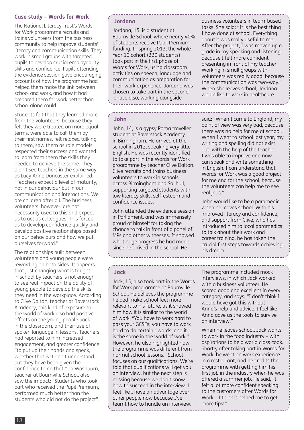### **Case study – Words for Work**

The National Literacy Trust's Words for Work programme recruits and trains volunteers from the business community to help improve students' literacy and communication skills. They work in small groups with targeted pupils to develop crucial employability skills and confidence. Pupils attending the evidence session gave encouraging accounts of how the programme had helped them make the link between school and work, and how it had prepared them for work better than school alone could.

Students felt that they learned more from the volunteers: because they felt they were treated on more equal terms, were able to call them by their first names, felt relaxed talking to them, saw them as role models, respected their success and wanted to learn from them the skills they needed to achieve the same. They didn't see teachers in the same way, as Lucy Anne Doncaster explained: "Teachers expect a level of maturity, not in our behaviour but in our communication and interactions. We are children after all. The business volunteers, however, are not necessarily used to this and expect us to act as colleagues. This forced us to develop confidence quickly and develop positive relationships based on our behaviours and how we put ourselves forward."

The relationships built between volunteers and young people were rewarding on both sides. It appears that just changing what is taught in school by teachers is not enough to see real impact on the ability of young people to develop the skills they need in the workplace. According to Clive Dalton, teacher at Baverstock Academy, this kind of exposure to the world of work also had positive effects on the young people back in the classroom, and their use of spoken language in lessons. Teachers had reported to him increased engagement, and greater confidence "to put up their hands and speak, whether that is 'I don't understand,' but they have been given the confidence to do that." Jo Washburn, teacher at Bournville School, also saw the impact: "Students who took part who received the Pupil Premium, performed much better than the students who did not do the project".

### **Jordana**

Jordana, 15, is a student at Bournville School, where nearly 40% of students receive Pupil Premium funding. In spring 2013, the whole Year 10 cohort (220 students) took part in the first phase of Words for Work, using classroom activities on speech, language and communication as preparation for their work experience. Jordana was chosen to take part in the second phase also, working alongside

### **John**

John, 14, is a gypsy Roma traveller student at Baverstock Academy in Birmingham. He arrived at the school in 2012, speaking very little English. He was recently identified to take part in the Words for Work programme by teacher Clive Dalton. Clive recruits and trains business volunteers to work in schools across Birmingham and Solihull, supporting targeted students with low literacy skills, self-esteem and confidence issues.

John attended the evidence session in Parliament, and was immensely proud of himself for taking the chance to talk in front of a panel of MPs and other witnesses. It showed what huge progress he had made since he arrived in the school. He

business volunteers in team-based tasks. She said: "It is the best thing I have done at school. Everything about it was really useful to me. After the project, I was moved up a grade in my speaking and listening, because I felt more confident presenting in front of my teacher. Working in small groups with volunteers was really good, because the communication was two-way." When she leaves school, Jordana would like to work in healthcare.

said: "When I came to England, my point of view was very bad, because there was no help for me at school. When I went to school last year, my writing and spelling did not exist but, with the help of the teacher, I was able to improve and now I can speak and write something in English. I can understand that Words for Work was a good project for me and for the school, because the volunteers can help me to see real jobs."

John would like to be a paramedic when he leaves school. With his improved literacy and confidence, and support from Clive, who has introduced him to local paramedics to talk about their work and career training, he has taken the crucial first steps towards achieving his dream.

### **Jack**

Jack, 15, also took part in the Words for Work programme at Bournville School. He believes the programme helped make school feel more relevant to his future, as it showed him how it is similar to the world of work: "You have to work hard to pass your GCSEs; you have to work hard to do certain awards, and it is the same in the world of work." However, he also highlighted how the programme was different from normal school lessons. "School focuses on our qualifications. We're told that qualifications will get you an interview, but the next step is missing because we don't know how to succeed in the interview. I feel like I have an advantage over other people now because I've learnt how to handle an interview."

The programme included mock interviews, in which Jack worked with a business volunteer. He scored good and excellent in every category, and says, "I don't think I would have got this without Anna's help and advice. I feel like Anna gave us the tools to survive an interview."

When he leaves school, Jack wants to work in the food industry – with aspirations to be a world class cook. Shortly after taking part in Words for Work, he went on work experience in a restaurant, and he credits the programme with getting him his first job in the industry when he was offered a summer job. He said, "I felt a lot more confident speaking to the customers after Words for Work – I think it helped me to get more tips!"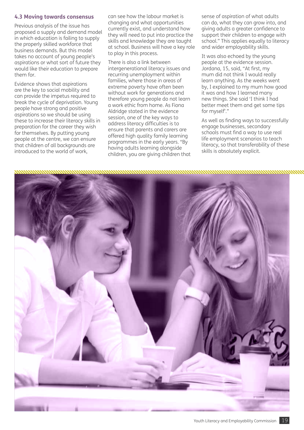### **4.3 Moving towards consensus**

Previous analysis of the issue has proposed a supply and demand model in which education is failing to supply the properly skilled workforce that business demands. But this model takes no account of young people's aspirations or what sort of future they would like their education to prepare them for.

Evidence shows that aspirations are the key to social mobility and can provide the impetus required to break the cycle of deprivation. Young people have strong and positive aspirations so we should be using these to increase their literacy skills in preparation for the career they wish for themselves. By putting young people at the centre, we can ensure that children of all backgrounds are introduced to the world of work,

can see how the labour market is changing and what opportunities currently exist, and understand how they will need to put into practice the skills and knowledge they are taught at school. Business will have a key role to play in this process.

There is also a link between intergenerational literacy issues and recurring unemployment within families, where those in areas of extreme poverty have often been without work for generations and therefore young people do not learn a work ethic from home. As Fiona Aldridge stated in the evidence session, one of the key ways to address literacy difficulties is to ensure that parents and carers are offered high quality family learning programmes in the early years. "By having adults learning alongside children, you are giving children that sense of aspiration of what adults can do, what they can grow into, and giving adults a greater confidence to support their children to engage with school." This applies equally to literacy and wider employability skills.

It was also echoed by the young people at the evidence session. Jordana, 15, said, "At first, my mum did not think I would really learn anything. As the weeks went by, I explained to my mum how good it was and how I learned many new things. She said 'I think I had better meet them and get some tips for myself'."

As well as finding ways to successfully engage businesses, secondary schools must find a way to use real life employment scenarios to teach literacy, so that transferability of these skills is absolutely explicit.

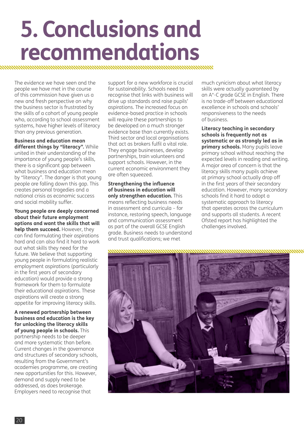# **5. Conclusions and recommendations**

The evidence we have seen and the people we have met in the course of this commission have given us a new and fresh perspective on why the business sector is frustrated by the skills of a cohort of young people who, according to school assessment systems, have higher levels of literacy than any previous generation.

**Business and education mean different things by "literacy".** While united in their understanding of the importance of young people's skills, there is a significant gap between what business and education mean by "literacy". The danger is that young people are falling down this gap. This creates personal tragedies and a national crisis as economic success and social mobility suffer.

**Young people are deeply concerned about their future employment options and want the skills that will help them succeed.** However, they can find formulating their aspirations hard and can also find it hard to work out what skills they need for the future. We believe that supporting young people in formulating realistic employment aspirations (particularly in the first years of secondary education) would provide a strong framework for them to formulate their educational aspirations. These aspirations will create a strong appetite for improving literacy skills.

**A renewed partnership between business and education is the key for unlocking the literacy skills of young people in schools.** This partnership needs to be deeper and more systematic than before. Current changes in the governance and structures of secondary schools, resulting from the Government's academies programme, are creating new opportunities for this. However, demand and supply need to be addressed, as does brokerage. Employers need to recognise that

support for a new workforce is crucial for sustainability. Schools need to recognise that links with business will drive up standards and raise pupils' aspirations. The increased focus on evidence-based practice in schools will require these partnerships to be developed on a much stronger evidence base than currently exists. Third sector and local organisations that act as brokers fulfil a vital role. They engage businesses, develop partnerships, train volunteers and support schools. However, in the current economic environment they are often squeezed.

**Strengthening the influence of business in education will only strengthen education.** This means reflecting business needs in assessment and curricula – for instance, restoring speech, language and communication assessment as part of the overall GCSE English grade. Business needs to understand and trust qualifications; we met

much cynicism about what literacy skills were actually guaranteed by an A\*-C grade GCSE in English. There is no trade-off between educational excellence in schools and schools' responsiveness to the needs of business.

**Literacy teaching in secondary schools is frequently not as systematic or as strongly led as in primary schools.** Many pupils leave primary school without reaching the expected levels in reading and writing. A major area of concern is that the literacy skills many pupils achieve at primary school actually drop off in the first years of their secondary education. However, many secondary schools find it hard to adopt a systematic approach to literacy that operates across the curriculum and supports all students. A recent Ofsted report has highlighted the challenges involved.

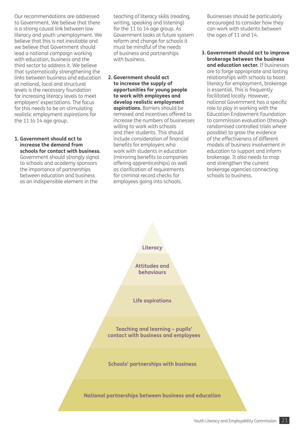Our recommendations are addressed to Government. We believe that there is a strong causal link between low literacy and youth unemployment. We believe that this is not inevitable and we believe that Government should lead a national campaign working with education, business and the third sector to address it. We believe that systematically strengthening the links between business and education at national, local and structural levels is the necessary foundation for increasing literacy levels to meet employers' expectations. The focus for this needs to be on stimulating realistic employment aspirations for the 11 to 14 age group.

**1. Government should act to increase the demand from schools for contact with business.** Government should strongly signal to schools and academy sponsors the importance of partnerships between education and business as an indispensible element in the

teaching of literacy skills (reading, writing, speaking and listening) for the 11 to 14 age group. As Government looks at future system reform and change for schools it must be mindful of the needs of business and partnerships with business.

**2. Government should act to increase the supply of opportunities for young people to work with employees and develop realistic employment aspirations.** Barriers should be removed and incentives offered to increase the numbers of businesses willing to work with schools and their students. This should include consideration of financial benefits for employers who work with students in education (mirroring benefits to companies offering apprenticeships) as well as clarification of requirements for criminal record checks for employees going into schools.

Businesses should be particularly encouraged to consider how they can work with students between the ages of 11 and 14.

**3. Government should act to improve brokerage between the business and education sector.** If businesses are to forge appropriate and lasting relationships with schools to boost literacy for employment, brokerage is essential. This is frequently facilitated locally. However, national Government has a specific role to play in working with the Education Endowment Foundation to commission evaluation (through randomised controlled trials where possible) to grow the evidence of the effectiveness of different models of business involvement in education to support and inform brokerage. It also needs to map and strengthen the current brokerage agencies connecting schools to business.

**Literacy**

**Attitudes and behaviours**

**Life aspirations**

**Teaching and learning – pupils' contact with business and employees**

**Schools' partnerships with business**

**National partnerships between business and education**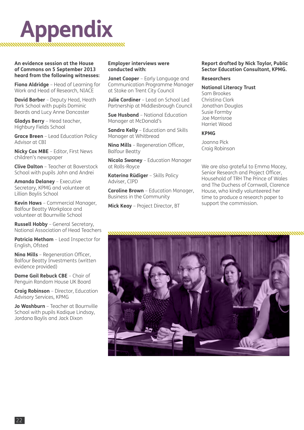### **Appendix**

**An evidence session at the House of Commons on 5 September 2013 heard from the following witnesses:** 

**Fiona Aldridge** – Head of Learning for Work and Head of Research, NIACE

**David Barber** – Deputy Head, Heath Park School with pupils Dominic Beards and Lucy Anne Doncaster

**Gladys Berry** – Head teacher, Highbury Fields School

**Grace Breen** – Lead Education Policy Advisor at CBI

**Nicky Cox MBE** – Editor, First News children's newspaper

**Clive Dalton** – Teacher at Baverstock School with pupils John and Andrei

**Amanda Delaney** – Executive Secretary, KPMG and volunteer at Lillian Baylis School

**Kevin Haws** – Commercial Manager, Balfour Beatty Workplace and volunteer at Bournville School

**Russell Hobby** – General Secretary, National Association of Head Teachers

**Patricia Metham** – Lead Inspector for English, Ofsted

**Nina Mills** – Regeneration Officer, Balfour Beatty Investments (written evidence provided)

**Dame Gail Rebuck CBE** – Chair of Penguin Random House UK Board

**Craig Robinson** – Director, Education Advisory Services, KPMG

**Jo Washburn** – Teacher at Bournville School with pupils Kadique Lindsay, Jordana Baylis and Jack Dixon

### **Employer interviews were conducted with:**

**Janet Cooper** – Early Language and Communication Programme Manager at Stoke on Trent City Council

**Julie Cordiner** – Lead on School Led Partnership at Middlesbrough Council

**Sue Husband** – National Education Manager at McDonald's

**Sandra Kelly** – Education and Skills Manager at Whitbread

**Nina Mills** – Regeneration Officer, Balfour Beatty

**Nicola Swaney** – Education Manager at Rolls-Royce

**Katerina Rüdiger** – Skills Policy Adviser, CIPD

**Caroline Brown** – Education Manager, Business in the Community

**Mick Keay** – Project Director, BT

### **Report drafted by Nick Taylor, Public Sector Education Consultant, KPMG.**

### **Researchers**

### **National Literacy Trust**

Sam Brookes Christina Clark Jonathan Douglas Susie Formby Joe Morrisroe Harriet Wood

### **KPMG**

Joanna Pick Craig Robinson

We are also grateful to Emma Macey, Senior Research and Project Officer, Household of TRH The Prince of Wales and The Duchess of Cornwall, Clarence House, who kindly volunteered her time to produce a research paper to support the commission.

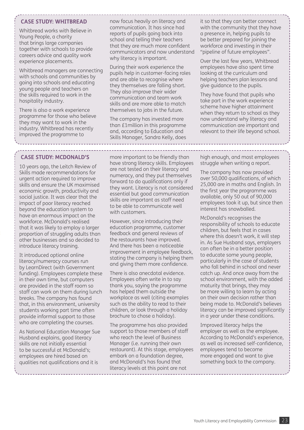### **CASE STUDY: WHITBREAD**

Whitbread works with Believe in Young People, a charity that brings large companies together with schools to provide careers advice and quality work experience placements.

Whitbread managers are connecting with schools and communities by going into schools and educating young people and teachers on the skills required to work in the hospitality industry.

There is also a work experience programme for those who believe they may want to work in the industry. Whitbread has recently improved the programme to

now focus heavily on literacy and communication. It has since had reports of pupils going back into school and telling their teachers that they are much more confident communicators and now understand why literacy is important.

During their work experience the pupils help in customer-facing roles and are able to recognise where they themselves are falling short. They also improve their wider communication and team work skills and are more able to match themselves to jobs in the future.

The company has invested more than £1million in this programme and, according to Education and Skills Manager, Sandra Kelly, does

it so that they can better connect with the community that they have a presence in, helping pupils to be better prepared for joining the workforce and investing in their "pipeline of future employees".

Over the last few years, Whitbread employees have also spent time looking at the curriculum and helping teachers plan lessons and give guidance to the pupils.

They have found that pupils who take part in the work experience scheme have higher attainment when they return to school as they now understand why literacy and communication are important and relevant to their life beyond school.

**CASE STUDY: MCDONALD'S** 

10 years ago, the Leitch Review of Skills made recommendations for urgent action required to improve skills and ensure the UK maximised economic growth, productivity and social justice. It was clear that the impact of poor literacy reached beyond the education system to have an enormous impact on the workforce. McDonald's realised that it was likely to employ a larger proportion of struggling adults than other businesses and so decided to introduce literacy training.

It introduced optional online literacy/numeracy courses run by LearnDirect (with Government funding). Employees complete these in their own time, but computers are provided in the staff room so staff can work on them during lunch breaks. The company has found that, in this environment, university students working part time often provide informal support to those who are completing the courses.

As National Education Manager Sue Husband explains, good literacy skills are not initially essential to be successful at McDonald's; employees are hired based on qualities not qualifications and it is

more important to be friendly than have strong literacy skills. Employees are not tested on their literacy and numeracy, and they put themselves forward to do qualifications only if they want. Literacy is not considered essential but good communication skills are important as staff need to be able to communicate well with customers.

However, since introducing their education programme, customer feedback and general reviews of the restaurants have improved. And there has been a noticeable improvement in employee feedback, stating the company is helping them and giving them more confidence.

There is also anecdotal evidence. Employees often write in to say thank you, saying the programme has helped them outside the workplace as well (citing examples such as the ability to read to their children, or look through a holiday brochure to chose a holiday).

The programme has also provided support to those members of staff who reach the level of Business Manager (i.e. running their own restaurant). At this stage, employees embark on a foundation degree, and McDonald's has found that literacy levels at this point are not

high enough, and most employees struggle when writing a report.

The company has now provided over 50,000 qualifications, of which 25,000 are in maths and English. In the first year the programme was available, only 50 out of 90,000 employees took it up, but since then interest has snowballed.

McDonald's recognises the responsibility of schools to educate children, but feels that in cases where this doesn't work, it will step in. As Sue Husband says, employers can often be in a better position to educate some young people, particularly in the case of students who fall behind in school and never catch up. And once away from the school environment, with the added maturity that brings, they may be more willing to learn by acting on their own decision rather than being made to. McDonald's believes literacy can be improved significantly in a year under these conditions.

Improved literacy helps the employer as well as the employee. According to McDonald's experience, as well as increased self-confidence, employees tend to become more engaged and want to give something back to the company.